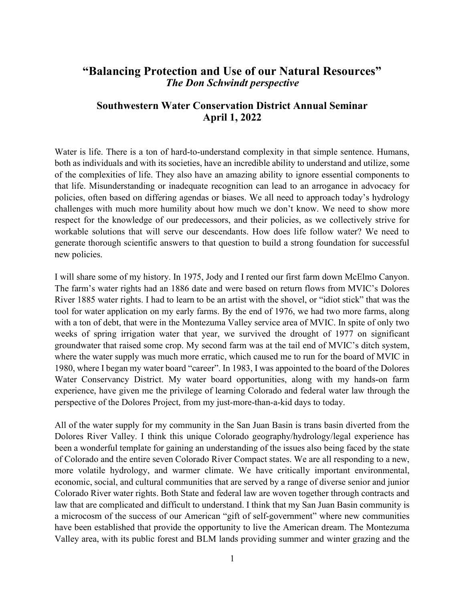## "Balancing Protection and Use of our Natural Resources" The Don Schwindt perspective

## Southwestern Water Conservation District Annual Seminar April 1, 2022

Water is life. There is a ton of hard-to-understand complexity in that simple sentence. Humans, both as individuals and with its societies, have an incredible ability to understand and utilize, some of the complexities of life. They also have an amazing ability to ignore essential components to that life. Misunderstanding or inadequate recognition can lead to an arrogance in advocacy for policies, often based on differing agendas or biases. We all need to approach today's hydrology challenges with much more humility about how much we don't know. We need to show more respect for the knowledge of our predecessors, and their policies, as we collectively strive for workable solutions that will serve our descendants. How does life follow water? We need to generate thorough scientific answers to that question to build a strong foundation for successful new policies.

I will share some of my history. In 1975, Jody and I rented our first farm down McElmo Canyon. The farm's water rights had an 1886 date and were based on return flows from MVIC's Dolores River 1885 water rights. I had to learn to be an artist with the shovel, or "idiot stick" that was the tool for water application on my early farms. By the end of 1976, we had two more farms, along with a ton of debt, that were in the Montezuma Valley service area of MVIC. In spite of only two weeks of spring irrigation water that year, we survived the drought of 1977 on significant groundwater that raised some crop. My second farm was at the tail end of MVIC's ditch system, where the water supply was much more erratic, which caused me to run for the board of MVIC in 1980, where I began my water board "career". In 1983, I was appointed to the board of the Dolores Water Conservancy District. My water board opportunities, along with my hands-on farm experience, have given me the privilege of learning Colorado and federal water law through the perspective of the Dolores Project, from my just-more-than-a-kid days to today.

All of the water supply for my community in the San Juan Basin is trans basin diverted from the Dolores River Valley. I think this unique Colorado geography/hydrology/legal experience has been a wonderful template for gaining an understanding of the issues also being faced by the state of Colorado and the entire seven Colorado River Compact states. We are all responding to a new, more volatile hydrology, and warmer climate. We have critically important environmental, economic, social, and cultural communities that are served by a range of diverse senior and junior Colorado River water rights. Both State and federal law are woven together through contracts and law that are complicated and difficult to understand. I think that my San Juan Basin community is a microcosm of the success of our American "gift of self-government" where new communities have been established that provide the opportunity to live the American dream. The Montezuma Valley area, with its public forest and BLM lands providing summer and winter grazing and the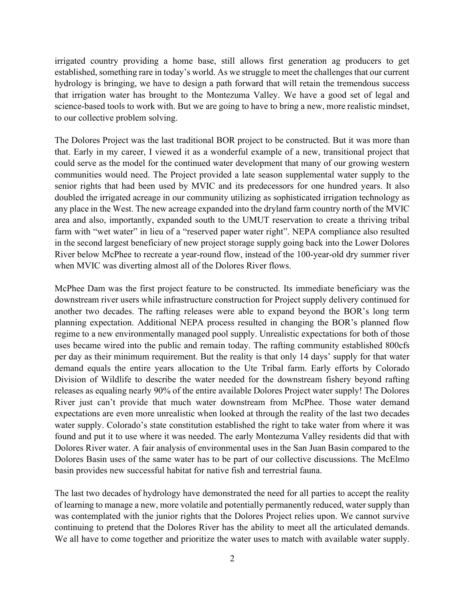irrigated country providing a home base, still allows first generation ag producers to get established, something rare in today's world. As we struggle to meet the challenges that our current hydrology is bringing, we have to design a path forward that will retain the tremendous success that irrigation water has brought to the Montezuma Valley. We have a good set of legal and science-based tools to work with. But we are going to have to bring a new, more realistic mindset, to our collective problem solving.

The Dolores Project was the last traditional BOR project to be constructed. But it was more than that. Early in my career, I viewed it as a wonderful example of a new, transitional project that could serve as the model for the continued water development that many of our growing western communities would need. The Project provided a late season supplemental water supply to the senior rights that had been used by MVIC and its predecessors for one hundred years. It also doubled the irrigated acreage in our community utilizing as sophisticated irrigation technology as any place in the West. The new acreage expanded into the dryland farm country north of the MVIC area and also, importantly, expanded south to the UMUT reservation to create a thriving tribal farm with "wet water" in lieu of a "reserved paper water right". NEPA compliance also resulted in the second largest beneficiary of new project storage supply going back into the Lower Dolores River below McPhee to recreate a year-round flow, instead of the 100-year-old dry summer river when MVIC was diverting almost all of the Dolores River flows.

McPhee Dam was the first project feature to be constructed. Its immediate beneficiary was the downstream river users while infrastructure construction for Project supply delivery continued for another two decades. The rafting releases were able to expand beyond the BOR's long term planning expectation. Additional NEPA process resulted in changing the BOR's planned flow regime to a new environmentally managed pool supply. Unrealistic expectations for both of those uses became wired into the public and remain today. The rafting community established 800cfs per day as their minimum requirement. But the reality is that only 14 days' supply for that water demand equals the entire years allocation to the Ute Tribal farm. Early efforts by Colorado Division of Wildlife to describe the water needed for the downstream fishery beyond rafting releases as equaling nearly 90% of the entire available Dolores Project water supply! The Dolores River just can't provide that much water downstream from McPhee. Those water demand expectations are even more unrealistic when looked at through the reality of the last two decades water supply. Colorado's state constitution established the right to take water from where it was found and put it to use where it was needed. The early Montezuma Valley residents did that with Dolores River water. A fair analysis of environmental uses in the San Juan Basin compared to the Dolores Basin uses of the same water has to be part of our collective discussions. The McElmo basin provides new successful habitat for native fish and terrestrial fauna.

The last two decades of hydrology have demonstrated the need for all parties to accept the reality of learning to manage a new, more volatile and potentially permanently reduced, water supply than was contemplated with the junior rights that the Dolores Project relies upon. We cannot survive continuing to pretend that the Dolores River has the ability to meet all the articulated demands. We all have to come together and prioritize the water uses to match with available water supply.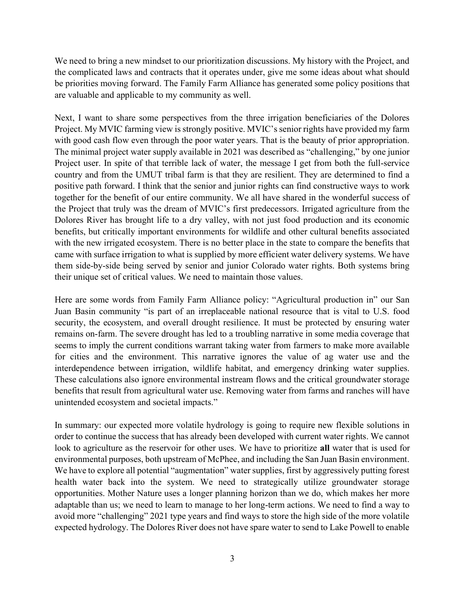We need to bring a new mindset to our prioritization discussions. My history with the Project, and the complicated laws and contracts that it operates under, give me some ideas about what should be priorities moving forward. The Family Farm Alliance has generated some policy positions that are valuable and applicable to my community as well.

Next, I want to share some perspectives from the three irrigation beneficiaries of the Dolores Project. My MVIC farming view is strongly positive. MVIC's senior rights have provided my farm with good cash flow even through the poor water years. That is the beauty of prior appropriation. The minimal project water supply available in 2021 was described as "challenging," by one junior Project user. In spite of that terrible lack of water, the message I get from both the full-service country and from the UMUT tribal farm is that they are resilient. They are determined to find a positive path forward. I think that the senior and junior rights can find constructive ways to work together for the benefit of our entire community. We all have shared in the wonderful success of the Project that truly was the dream of MVIC's first predecessors. Irrigated agriculture from the Dolores River has brought life to a dry valley, with not just food production and its economic benefits, but critically important environments for wildlife and other cultural benefits associated with the new irrigated ecosystem. There is no better place in the state to compare the benefits that came with surface irrigation to what is supplied by more efficient water delivery systems. We have them side-by-side being served by senior and junior Colorado water rights. Both systems bring their unique set of critical values. We need to maintain those values.

Here are some words from Family Farm Alliance policy: "Agricultural production in" our San Juan Basin community "is part of an irreplaceable national resource that is vital to U.S. food security, the ecosystem, and overall drought resilience. It must be protected by ensuring water remains on-farm. The severe drought has led to a troubling narrative in some media coverage that seems to imply the current conditions warrant taking water from farmers to make more available for cities and the environment. This narrative ignores the value of ag water use and the interdependence between irrigation, wildlife habitat, and emergency drinking water supplies. These calculations also ignore environmental instream flows and the critical groundwater storage benefits that result from agricultural water use. Removing water from farms and ranches will have unintended ecosystem and societal impacts."

In summary: our expected more volatile hydrology is going to require new flexible solutions in order to continue the success that has already been developed with current water rights. We cannot look to agriculture as the reservoir for other uses. We have to prioritize all water that is used for environmental purposes, both upstream of McPhee, and including the San Juan Basin environment. We have to explore all potential "augmentation" water supplies, first by aggressively putting forest health water back into the system. We need to strategically utilize groundwater storage opportunities. Mother Nature uses a longer planning horizon than we do, which makes her more adaptable than us; we need to learn to manage to her long-term actions. We need to find a way to avoid more "challenging" 2021 type years and find ways to store the high side of the more volatile expected hydrology. The Dolores River does not have spare water to send to Lake Powell to enable